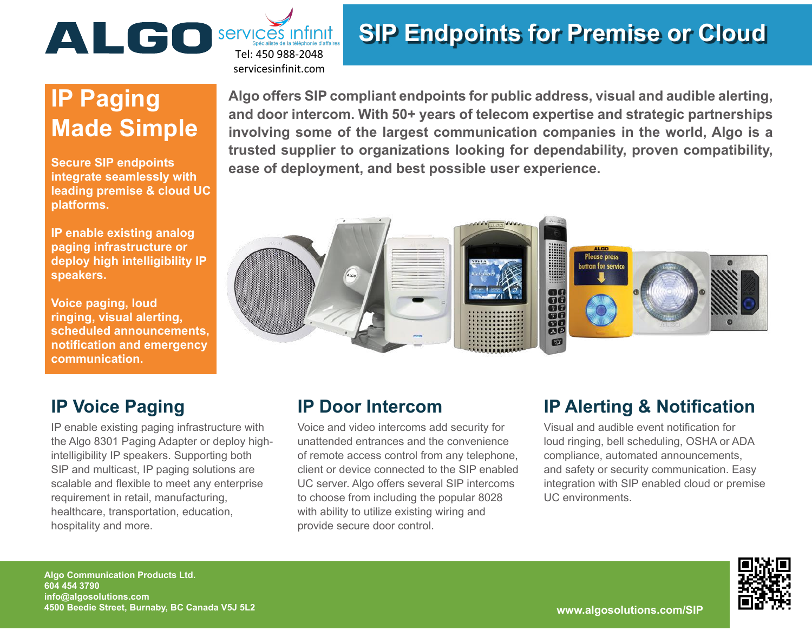

# **SIP Endpoints for Premise or Cloud**

# **IP Paging Made Simple**

**Secure SIP endpoints integrate seamlessly with leading premise & cloud UC platforms.**

**IP enable existing analog paging infrastructure or deploy high intelligibility IP speakers.**

**Voice paging, loud ringing, visual alerting, scheduled announcements, notification and emergency communication.**

### **IP Voice Paging**

IP enable existing paging infrastructure with the Algo 8301 Paging Adapter or deploy highintelligibility IP speakers. Supporting both SIP and multicast, IP paging solutions are scalable and flexible to meet any enterprise requirement in retail, manufacturing, healthcare, transportation, education, hospitality and more.

**Algo offers SIP compliant endpoints for public address, visual and audible alerting, and door intercom. With 50+ years of telecom expertise and strategic partnerships involving some of the largest communication companies in the world, Algo is a trusted supplier to organizations looking for dependability, proven compatibility, ease of deployment, and best possible user experience.**



## **IP Door Intercom**

Voice and video intercoms add security for unattended entrances and the convenience of remote access control from any telephone, client or device connected to the SIP enabled UC server. Algo offers several SIP intercoms to choose from including the popular 8028 with ability to utilize existing wiring and provide secure door control.

## **IP Alerting & Notification**

Visual and audible event notification for loud ringing, bell scheduling, OSHA or ADA compliance, automated announcements, and safety or security communication. Easy integration with SIP enabled cloud or premise UC environments.



**Algo Communication Products Ltd. 604 454 3790 info@algosolutions.com 4500 Beedie Street, Burnaby, BC Canada V5J 5L2 www.algosolutions.com/SIP**